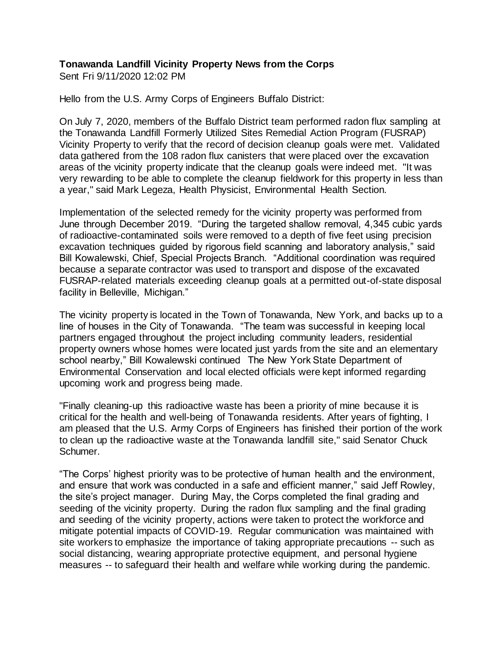## **Tonawanda Landfill Vicinity Property News from the Corps**

Sent Fri 9/11/2020 12:02 PM

Hello from the U.S. Army Corps of Engineers Buffalo District:

On July 7, 2020, members of the Buffalo District team performed radon flux sampling at the Tonawanda Landfill Formerly Utilized Sites Remedial Action Program (FUSRAP) Vicinity Property to verify that the record of decision cleanup goals were met. Validated data gathered from the 108 radon flux canisters that were placed over the excavation areas of the vicinity property indicate that the cleanup goals were indeed met. "It was very rewarding to be able to complete the cleanup fieldwork for this property in less than a year," said Mark Legeza, Health Physicist, Environmental Health Section.

Implementation of the selected remedy for the vicinity property was performed from June through December 2019. "During the targeted shallow removal, 4,345 cubic yards of radioactive-contaminated soils were removed to a depth of five feet using precision excavation techniques guided by rigorous field scanning and laboratory analysis," said Bill Kowalewski, Chief, Special Projects Branch. "Additional coordination was required because a separate contractor was used to transport and dispose of the excavated FUSRAP-related materials exceeding cleanup goals at a permitted out-of-state disposal facility in Belleville, Michigan."

The vicinity property is located in the Town of Tonawanda, New York, and backs up to a line of houses in the City of Tonawanda. "The team was successful in keeping local partners engaged throughout the project including community leaders, residential property owners whose homes were located just yards from the site and an elementary school nearby," Bill Kowalewski continued The New York State Department of Environmental Conservation and local elected officials were kept informed regarding upcoming work and progress being made.

"Finally cleaning-up this radioactive waste has been a priority of mine because it is critical for the health and well-being of Tonawanda residents. After years of fighting, I am pleased that the U.S. Army Corps of Engineers has finished their portion of the work to clean up the radioactive waste at the Tonawanda landfill site," said Senator Chuck Schumer.

"The Corps' highest priority was to be protective of human health and the environment, and ensure that work was conducted in a safe and efficient manner," said Jeff Rowley, the site's project manager. During May, the Corps completed the final grading and seeding of the vicinity property. During the radon flux sampling and the final grading and seeding of the vicinity property, actions were taken to protect the workforce and mitigate potential impacts of COVID-19. Regular communication was maintained with site workers to emphasize the importance of taking appropriate precautions -- such as social distancing, wearing appropriate protective equipment, and personal hygiene measures -- to safeguard their health and welfare while working during the pandemic.